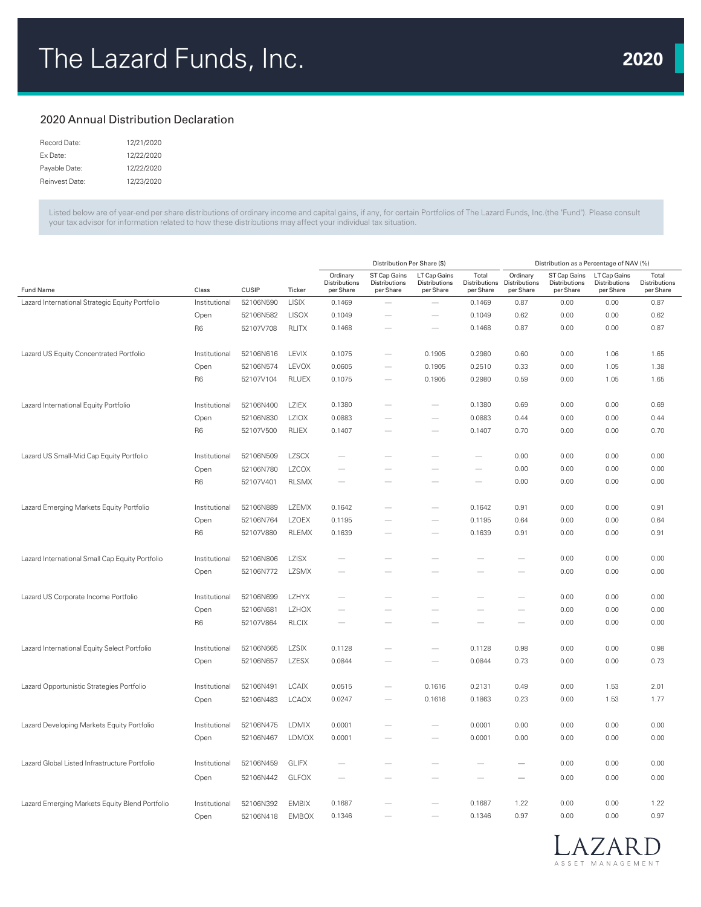## 2020 Annual Distribution Declaration

| Record Date:   | 12/21/2020 |
|----------------|------------|
| Fx Date:       | 12/22/2020 |
| Payable Date:  | 12/22/2020 |
| Reinvest Date: | 12/23/2020 |

Listed below are of year-end per share distributions of ordinary income and capital gains, if any, for certain Portfolios of The Lazard Funds, Inc.(the "Fund"). Please consult your tax advisor for information related to how these distributions may affect your individual tax situation.

|                                                 |                |              |              | Distribution Per Share (\$)            |                                            |                                            |                          | Distribution as a Percentage of NAV (%)              |                                            |                                            |                                     |  |
|-------------------------------------------------|----------------|--------------|--------------|----------------------------------------|--------------------------------------------|--------------------------------------------|--------------------------|------------------------------------------------------|--------------------------------------------|--------------------------------------------|-------------------------------------|--|
| <b>Fund Name</b>                                | Class          | <b>CUSIP</b> | Ticker       | Ordinary<br>Distributions<br>per Share | ST Cap Gains<br>Distributions<br>per Share | LT Cap Gains<br>Distributions<br>per Share | Total<br>per Share       | Ordinary<br>Distributions Distributions<br>per Share | ST Cap Gains<br>Distributions<br>per Share | LT Cap Gains<br>Distributions<br>per Share | Total<br>Distributions<br>per Share |  |
| Lazard International Strategic Equity Portfolio | Institutional  | 52106N590    | <b>LISIX</b> | 0.1469                                 |                                            | $\overline{\phantom{0}}$                   | 0.1469                   | 0.87                                                 | 0.00                                       | 0.00                                       | 0.87                                |  |
|                                                 | Open           | 52106N582    | <b>LISOX</b> | 0.1049                                 |                                            | $\frac{1}{2}$                              | 0.1049                   | 0.62                                                 | 0.00                                       | 0.00                                       | 0.62                                |  |
|                                                 | R <sub>6</sub> | 52107V708    | RLITX        | 0.1468                                 |                                            |                                            | 0.1468                   | 0.87                                                 | 0.00                                       | 0.00                                       | 0.87                                |  |
| Lazard US Equity Concentrated Portfolio         | Institutional  | 52106N616    | LEVIX        | 0.1075                                 |                                            | 0.1905                                     | 0.2980                   | 0.60                                                 | 0.00                                       | 1.06                                       | 1.65                                |  |
|                                                 | Open           | 52106N574    | LEVOX        | 0.0605                                 |                                            | 0.1905                                     | 0.2510                   | 0.33                                                 | 0.00                                       | 1.05                                       | 1.38                                |  |
|                                                 | R <sub>6</sub> | 52107V104    | <b>RLUEX</b> | 0.1075                                 |                                            | 0.1905                                     | 0.2980                   | 0.59                                                 | 0.00                                       | 1.05                                       | 1.65                                |  |
| Lazard International Equity Portfolio           | Institutional  | 52106N400    | LZIEX        | 0.1380                                 |                                            |                                            | 0.1380                   | 0.69                                                 | 0.00                                       | 0.00                                       | 0.69                                |  |
|                                                 | Open           | 52106N830    | <b>LZIOX</b> | 0.0883                                 |                                            |                                            | 0.0883                   | 0.44                                                 | 0.00                                       | 0.00                                       | 0.44                                |  |
|                                                 | R <sub>6</sub> | 52107V500    | <b>RLIEX</b> | 0.1407                                 |                                            |                                            | 0.1407                   | 0.70                                                 | 0.00                                       | 0.00                                       | 0.70                                |  |
| Lazard US Small-Mid Cap Equity Portfolio        | Institutional  | 52106N509    | <b>LZSCX</b> | $\overline{\phantom{a}}$               |                                            |                                            |                          | 0.00                                                 | 0.00                                       | 0.00                                       | 0.00                                |  |
|                                                 | Open           | 52106N780    | <b>LZCOX</b> | $\overline{\phantom{a}}$               |                                            |                                            | $\overline{\phantom{a}}$ | 0.00                                                 | 0.00                                       | 0.00                                       | 0.00                                |  |
|                                                 | R <sub>6</sub> | 52107V401    | <b>RLSMX</b> |                                        |                                            |                                            |                          | 0.00                                                 | 0.00                                       | 0.00                                       | 0.00                                |  |
| Lazard Emerging Markets Equity Portfolio        | Institutional  | 52106N889    | LZEMX        | 0.1642                                 |                                            |                                            | 0.1642                   | 0.91                                                 | 0.00                                       | 0.00                                       | 0.91                                |  |
|                                                 | Open           | 52106N764    | <b>LZOEX</b> | 0.1195                                 |                                            |                                            | 0.1195                   | 0.64                                                 | 0.00                                       | 0.00                                       | 0.64                                |  |
|                                                 | R <sub>6</sub> | 52107V880    | <b>RLEMX</b> | 0.1639                                 |                                            |                                            | 0.1639                   | 0.91                                                 | 0.00                                       | 0.00                                       | 0.91                                |  |
| Lazard International Small Cap Equity Portfolio | Institutional  | 52106N806    | <b>LZISX</b> |                                        |                                            |                                            |                          |                                                      | 0.00                                       | 0.00                                       | 0.00                                |  |
|                                                 | Open           | 52106N772    | <b>LZSMX</b> |                                        |                                            |                                            |                          |                                                      | 0.00                                       | 0.00                                       | 0.00                                |  |
| Lazard US Corporate Income Portfolio            | Institutional  | 52106N699    | <b>LZHYX</b> | $\overline{\phantom{m}}$               |                                            |                                            |                          |                                                      | 0.00                                       | 0.00                                       | 0.00                                |  |
|                                                 | Open           | 52106N681    | <b>LZHOX</b> |                                        |                                            |                                            |                          |                                                      | 0.00                                       | 0.00                                       | 0.00                                |  |
|                                                 | R <sub>6</sub> | 52107V864    | <b>RLCIX</b> |                                        |                                            |                                            |                          |                                                      | 0.00                                       | 0.00                                       | 0.00                                |  |
| Lazard International Equity Select Portfolio    | Institutional  | 52106N665    | LZSIX        | 0.1128                                 |                                            |                                            | 0.1128                   | 0.98                                                 | 0.00                                       | 0.00                                       | 0.98                                |  |
|                                                 | Open           | 52106N657    | LZESX        | 0.0844                                 |                                            | $\overline{\phantom{a}}$                   | 0.0844                   | 0.73                                                 | 0.00                                       | 0.00                                       | 0.73                                |  |
| Lazard Opportunistic Strategies Portfolio       | Institutional  | 52106N491    | <b>LCAIX</b> | 0.0515                                 |                                            | 0.1616                                     | 0.2131                   | 0.49                                                 | 0.00                                       | 1.53                                       | 2.01                                |  |
|                                                 | Open           | 52106N483    | <b>LCAOX</b> | 0.0247                                 |                                            | 0.1616                                     | 0.1863                   | 0.23                                                 | 0.00                                       | 1.53                                       | 1.77                                |  |
| Lazard Developing Markets Equity Portfolio      | Institutional  | 52106N475    | <b>LDMIX</b> | 0.0001                                 |                                            |                                            | 0.0001                   | 0.00                                                 | 0.00                                       | 0.00                                       | 0.00                                |  |
|                                                 | Open           | 52106N467    | <b>LDMOX</b> | 0.0001                                 |                                            |                                            | 0.0001                   | 0.00                                                 | 0.00                                       | 0.00                                       | 0.00                                |  |
| Lazard Global Listed Infrastructure Portfolio   | Institutional  | 52106N459    | <b>GLIFX</b> |                                        |                                            |                                            |                          |                                                      | 0.00                                       | 0.00                                       | 0.00                                |  |
|                                                 | Open           | 52106N442    | <b>GLFOX</b> |                                        |                                            |                                            |                          | $\overline{\phantom{a}}$                             | 0.00                                       | 0.00                                       | 0.00                                |  |
| Lazard Emerging Markets Equity Blend Portfolio  | Institutional  | 52106N392    | <b>EMBIX</b> | 0.1687                                 |                                            |                                            | 0.1687                   | 1.22                                                 | 0.00                                       | 0.00                                       | 1.22                                |  |
|                                                 | Open           | 52106N418    | <b>EMBOX</b> | 0.1346                                 |                                            | $\overline{\phantom{a}}$                   | 0.1346                   | 0.97                                                 | 0.00                                       | 0.00                                       | 0.97                                |  |

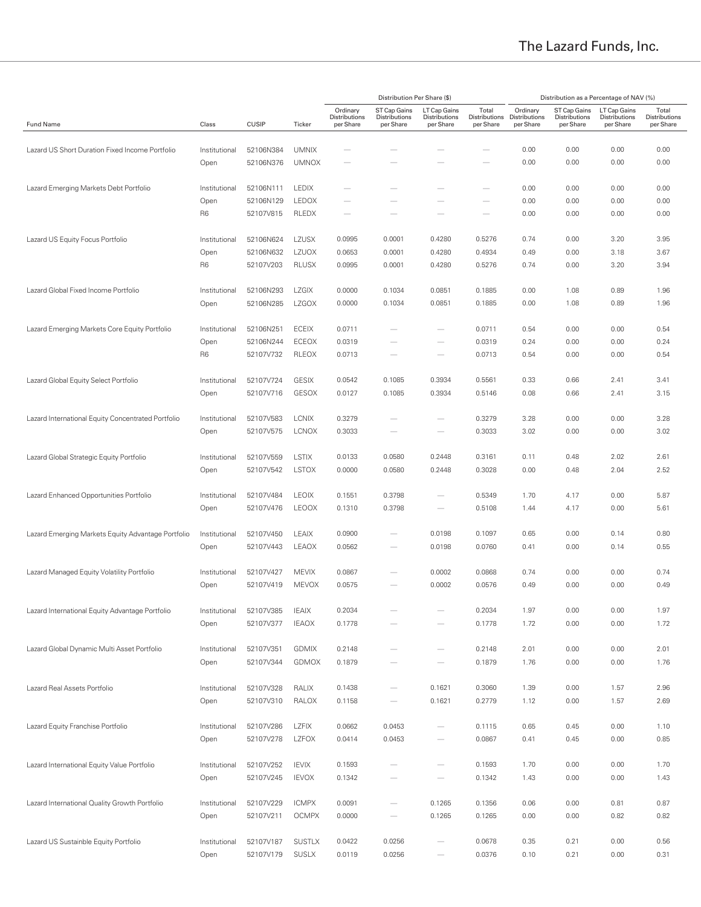|                                                    |                |              |               |                                        | Distribution Per Share (\$)                |                                            |                                     | Distribution as a Percentage of NAV (%) |                                            |                                            |                                     |  |
|----------------------------------------------------|----------------|--------------|---------------|----------------------------------------|--------------------------------------------|--------------------------------------------|-------------------------------------|-----------------------------------------|--------------------------------------------|--------------------------------------------|-------------------------------------|--|
| Fund Name                                          | Class          | <b>CUSIP</b> | Ticker        | Ordinary<br>Distributions<br>per Share | ST Cap Gains<br>Distributions<br>per Share | LT Cap Gains<br>Distributions<br>per Share | Total<br>Distributions<br>per Share | Ordinary<br>Distributions<br>per Share  | ST Cap Gains<br>Distributions<br>per Share | LT Cap Gains<br>Distributions<br>per Share | Total<br>Distributions<br>per Share |  |
|                                                    |                |              |               |                                        |                                            |                                            |                                     |                                         |                                            |                                            |                                     |  |
| Lazard US Short Duration Fixed Income Portfolio    | Institutional  | 52106N384    | <b>UMNIX</b>  |                                        |                                            |                                            |                                     | 0.00                                    | 0.00                                       | 0.00                                       | 0.00                                |  |
|                                                    | Open           | 52106N376    | <b>UMNOX</b>  |                                        |                                            |                                            |                                     | 0.00                                    | 0.00                                       | 0.00                                       | 0.00                                |  |
| Lazard Emerging Markets Debt Portfolio             | Institutional  | 52106N111    | <b>LEDIX</b>  |                                        |                                            |                                            |                                     | 0.00                                    | 0.00                                       | 0.00                                       | 0.00                                |  |
|                                                    | Open           | 52106N129    | <b>LEDOX</b>  | $\overline{\phantom{a}}$               |                                            |                                            | $\qquad \qquad$                     | 0.00                                    | 0.00                                       | 0.00                                       | 0.00                                |  |
|                                                    | R <sub>6</sub> | 52107V815    | RLEDX         |                                        |                                            |                                            |                                     | 0.00                                    | 0.00                                       | 0.00                                       | 0.00                                |  |
| Lazard US Equity Focus Portfolio                   | Institutional  | 52106N624    | LZUSX         | 0.0995                                 | 0.0001                                     | 0.4280                                     | 0.5276                              | 0.74                                    | 0.00                                       | 3.20                                       | 3.95                                |  |
|                                                    | Open           | 52106N632    | LZUOX         | 0.0653                                 | 0.0001                                     | 0.4280                                     | 0.4934                              | 0.49                                    | 0.00                                       | 3.18                                       | 3.67                                |  |
|                                                    | R6             | 52107V203    | <b>RLUSX</b>  | 0.0995                                 | 0.0001                                     | 0.4280                                     | 0.5276                              | 0.74                                    | 0.00                                       | 3.20                                       | 3.94                                |  |
| Lazard Global Fixed Income Portfolio               | Institutional  | 52106N293    | <b>LZGIX</b>  | 0.0000                                 | 0.1034                                     | 0.0851                                     | 0.1885                              | 0.00                                    | 1.08                                       | 0.89                                       | 1.96                                |  |
|                                                    |                |              |               |                                        |                                            |                                            |                                     |                                         |                                            |                                            |                                     |  |
|                                                    | Open           | 52106N285    | <b>LZGOX</b>  | 0.0000                                 | 0.1034                                     | 0.0851                                     | 0.1885                              | 0.00                                    | 1.08                                       | 0.89                                       | 1.96                                |  |
| Lazard Emerging Markets Core Equity Portfolio      | Institutional  | 52106N251    | ECEIX         | 0.0711                                 |                                            |                                            | 0.0711                              | 0.54                                    | 0.00                                       | 0.00                                       | 0.54                                |  |
|                                                    | Open           | 52106N244    | ECEOX         | 0.0319                                 |                                            | $\overline{\phantom{m}}$                   | 0.0319                              | 0.24                                    | 0.00                                       | 0.00                                       | 0.24                                |  |
|                                                    | R6             | 52107V732    | RLEOX         | 0.0713                                 |                                            | $\overline{\phantom{m}}$                   | 0.0713                              | 0.54                                    | 0.00                                       | 0.00                                       | 0.54                                |  |
| Lazard Global Equity Select Portfolio              | Institutional  | 52107V724    | <b>GESIX</b>  | 0.0542                                 | 0.1085                                     | 0.3934                                     | 0.5561                              | 0.33                                    | 0.66                                       | 2.41                                       | 3.41                                |  |
|                                                    | Open           | 52107V716    | GESOX         | 0.0127                                 | 0.1085                                     | 0.3934                                     | 0.5146                              | 0.08                                    | 0.66                                       | 2.41                                       | 3.15                                |  |
| Lazard International Equity Concentrated Portfolio | Institutional  | 52107V583    | <b>LCNIX</b>  | 0.3279                                 |                                            |                                            | 0.3279                              | 3.28                                    | 0.00                                       | 0.00                                       | 3.28                                |  |
|                                                    |                |              |               |                                        |                                            |                                            |                                     |                                         |                                            |                                            |                                     |  |
|                                                    | Open           | 52107V575    | <b>LCNOX</b>  | 0.3033                                 |                                            | $\overline{\phantom{a}}$                   | 0.3033                              | 3.02                                    | 0.00                                       | 0.00                                       | 3.02                                |  |
| Lazard Global Strategic Equity Portfolio           | Institutional  | 52107V559    | <b>LSTIX</b>  | 0.0133                                 | 0.0580                                     | 0.2448                                     | 0.3161                              | 0.11                                    | 0.48                                       | 2.02                                       | 2.61                                |  |
|                                                    | Open           | 52107V542    | <b>LSTOX</b>  | 0.0000                                 | 0.0580                                     | 0.2448                                     | 0.3028                              | 0.00                                    | 0.48                                       | 2.04                                       | 2.52                                |  |
| Lazard Enhanced Opportunities Portfolio            | Institutional  | 52107V484    | <b>LEOIX</b>  | 0.1551                                 | 0.3798                                     |                                            | 0.5349                              | 1.70                                    | 4.17                                       | 0.00                                       | 5.87                                |  |
|                                                    | Open           | 52107V476    | <b>LEOOX</b>  | 0.1310                                 | 0.3798                                     | $\overline{\phantom{a}}$                   | 0.5108                              | 1.44                                    | 4.17                                       | 0.00                                       | 5.61                                |  |
| Lazard Emerging Markets Equity Advantage Portfolio | Institutional  | 52107V450    | LEAIX         | 0.0900                                 | $\overline{\phantom{a}}$                   | 0.0198                                     | 0.1097                              | 0.65                                    | 0.00                                       | 0.14                                       | 0.80                                |  |
|                                                    |                |              |               |                                        |                                            |                                            |                                     |                                         |                                            |                                            |                                     |  |
|                                                    | Open           | 52107V443    | <b>LEAOX</b>  | 0.0562                                 |                                            | 0.0198                                     | 0.0760                              | 0.41                                    | 0.00                                       | 0.14                                       | 0.55                                |  |
| Lazard Managed Equity Volatility Portfolio         | Institutional  | 52107V427    | <b>MEVIX</b>  | 0.0867                                 |                                            | 0.0002                                     | 0.0868                              | 0.74                                    | 0.00                                       | 0.00                                       | 0.74                                |  |
|                                                    | Open           | 52107V419    | <b>MEVOX</b>  | 0.0575                                 |                                            | 0.0002                                     | 0.0576                              | 0.49                                    | 0.00                                       | 0.00                                       | 0.49                                |  |
| Lazard International Equity Advantage Portfolio    | Institutional  | 52107V385    | IEAIX         |                                        |                                            |                                            |                                     |                                         | 0.00                                       |                                            |                                     |  |
|                                                    |                |              |               | 0.2034                                 |                                            |                                            | 0.2034                              | 1.97                                    |                                            | 0.00                                       | 1.97                                |  |
|                                                    | Open           | 52107V377    | <b>IEAOX</b>  | 0.1778                                 | -                                          | $\overline{\phantom{m}}$                   | 0.1778                              | 1.72                                    | 0.00                                       | 0.00                                       | 1.72                                |  |
| Lazard Global Dynamic Multi Asset Portfolio        | Institutional  | 52107V351    | <b>GDMIX</b>  | 0.2148                                 |                                            |                                            | 0.2148                              | 2.01                                    | 0.00                                       | 0.00                                       | 2.01                                |  |
|                                                    | Open           | 52107V344    | GDMOX         | 0.1879                                 |                                            | $\qquad \qquad$                            | 0.1879                              | 1.76                                    | 0.00                                       | 0.00                                       | 1.76                                |  |
| Lazard Real Assets Portfolio                       | Institutional  | 52107V328    | RALIX         | 0.1438                                 |                                            | 0.1621                                     | 0.3060                              | 1.39                                    | 0.00                                       | 1.57                                       | 2.96                                |  |
|                                                    |                |              |               |                                        |                                            |                                            |                                     |                                         |                                            |                                            |                                     |  |
|                                                    | Open           | 52107V310    | RALOX         | 0.1158                                 |                                            | 0.1621                                     | 0.2779                              | 1.12                                    | 0.00                                       | 1.57                                       | 2.69                                |  |
| Lazard Equity Franchise Portfolio                  | Institutional  | 52107V286    | LZFIX         | 0.0662                                 | 0.0453                                     | $\overline{\phantom{a}}$                   | 0.1115                              | 0.65                                    | 0.45                                       | 0.00                                       | 1.10                                |  |
|                                                    | Open           | 52107V278    | LZFOX         | 0.0414                                 | 0.0453                                     |                                            | 0.0867                              | 0.41                                    | 0.45                                       | 0.00                                       | 0.85                                |  |
| Lazard International Equity Value Portfolio        | Institutional  | 52107V252    | <b>IEVIX</b>  | 0.1593                                 |                                            | $\qquad \qquad$                            | 0.1593                              | 1.70                                    | 0.00                                       | 0.00                                       | 1.70                                |  |
|                                                    |                | 52107V245    | <b>IEVOX</b>  | 0.1342                                 |                                            |                                            | 0.1342                              | 1.43                                    | 0.00                                       | 0.00                                       | 1.43                                |  |
|                                                    | Open           |              |               |                                        |                                            |                                            |                                     |                                         |                                            |                                            |                                     |  |
| Lazard International Quality Growth Portfolio      | Institutional  | 52107V229    | <b>ICMPX</b>  | 0.0091                                 | $\overline{\phantom{a}}$                   | 0.1265                                     | 0.1356                              | 0.06                                    | 0.00                                       | 0.81                                       | 0.87                                |  |
|                                                    | Open           | 52107V211    | <b>OCMPX</b>  | 0.0000                                 |                                            | 0.1265                                     | 0.1265                              | 0.00                                    | 0.00                                       | 0.82                                       | 0.82                                |  |
| Lazard US Sustainble Equity Portfolio              | Institutional  | 52107V187    | <b>SUSTLX</b> | 0.0422                                 | 0.0256                                     | $\overline{\phantom{a}}$                   | 0.0678                              | 0.35                                    | 0.21                                       | 0.00                                       | 0.56                                |  |
|                                                    | Open           | 52107V179    | <b>SUSLX</b>  | 0.0119                                 | 0.0256                                     | $\qquad \qquad$                            | 0.0376                              | 0.10                                    | 0.21                                       | 0.00                                       | 0.31                                |  |
|                                                    |                |              |               |                                        |                                            |                                            |                                     |                                         |                                            |                                            |                                     |  |